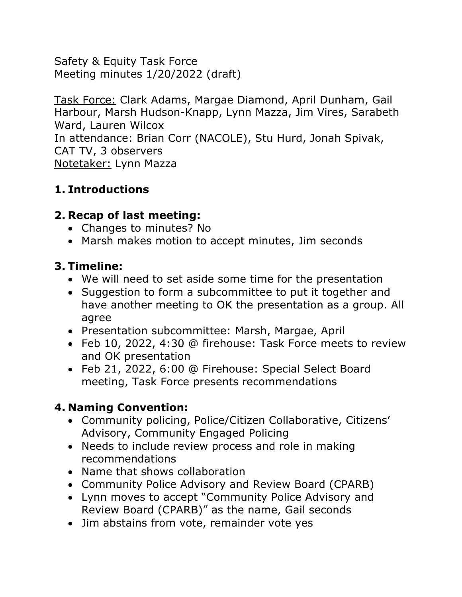Safety & Equity Task Force Meeting minutes 1/20/2022 (draft)

Task Force: Clark Adams, Margae Diamond, April Dunham, Gail Harbour, Marsh Hudson-Knapp, Lynn Mazza, Jim Vires, Sarabeth Ward, Lauren Wilcox In attendance: Brian Corr (NACOLE), Stu Hurd, Jonah Spivak, CAT TV, 3 observers Notetaker: Lynn Mazza

### **1. Introductions**

# **2. Recap of last meeting:**

- Changes to minutes? No
- Marsh makes motion to accept minutes, Jim seconds

# **3. Timeline:**

- We will need to set aside some time for the presentation
- Suggestion to form a subcommittee to put it together and have another meeting to OK the presentation as a group. All agree
- Presentation subcommittee: Marsh, Margae, April
- Feb 10, 2022, 4:30 @ firehouse: Task Force meets to review and OK presentation
- Feb 21, 2022, 6:00 @ Firehouse: Special Select Board meeting, Task Force presents recommendations

# **4. Naming Convention:**

- Community policing, Police/Citizen Collaborative, Citizens' Advisory, Community Engaged Policing
- Needs to include review process and role in making recommendations
- Name that shows collaboration
- Community Police Advisory and Review Board (CPARB)
- Lynn moves to accept "Community Police Advisory and Review Board (CPARB)" as the name, Gail seconds
- Jim abstains from vote, remainder vote yes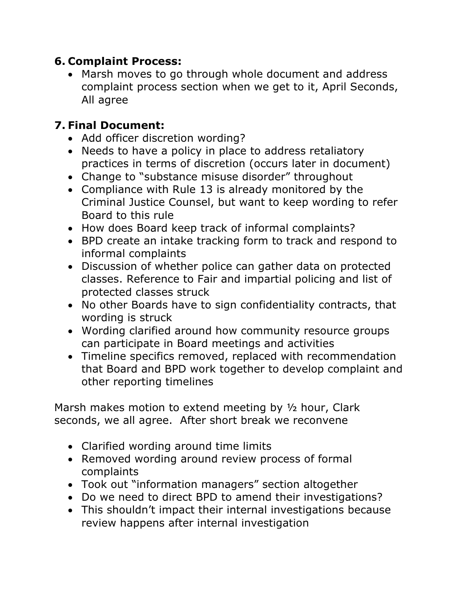### **6. Complaint Process:**

• Marsh moves to go through whole document and address complaint process section when we get to it, April Seconds, All agree

### **7. Final Document:**

- Add officer discretion wording?
- Needs to have a policy in place to address retaliatory practices in terms of discretion (occurs later in document)
- Change to "substance misuse disorder" throughout
- Compliance with Rule 13 is already monitored by the Criminal Justice Counsel, but want to keep wording to refer Board to this rule
- How does Board keep track of informal complaints?
- BPD create an intake tracking form to track and respond to informal complaints
- Discussion of whether police can gather data on protected classes. Reference to Fair and impartial policing and list of protected classes struck
- No other Boards have to sign confidentiality contracts, that wording is struck
- Wording clarified around how community resource groups can participate in Board meetings and activities
- Timeline specifics removed, replaced with recommendation that Board and BPD work together to develop complaint and other reporting timelines

Marsh makes motion to extend meeting by 1/2 hour, Clark seconds, we all agree. After short break we reconvene

- Clarified wording around time limits
- Removed wording around review process of formal complaints
- Took out "information managers" section altogether
- Do we need to direct BPD to amend their investigations?
- This shouldn't impact their internal investigations because review happens after internal investigation